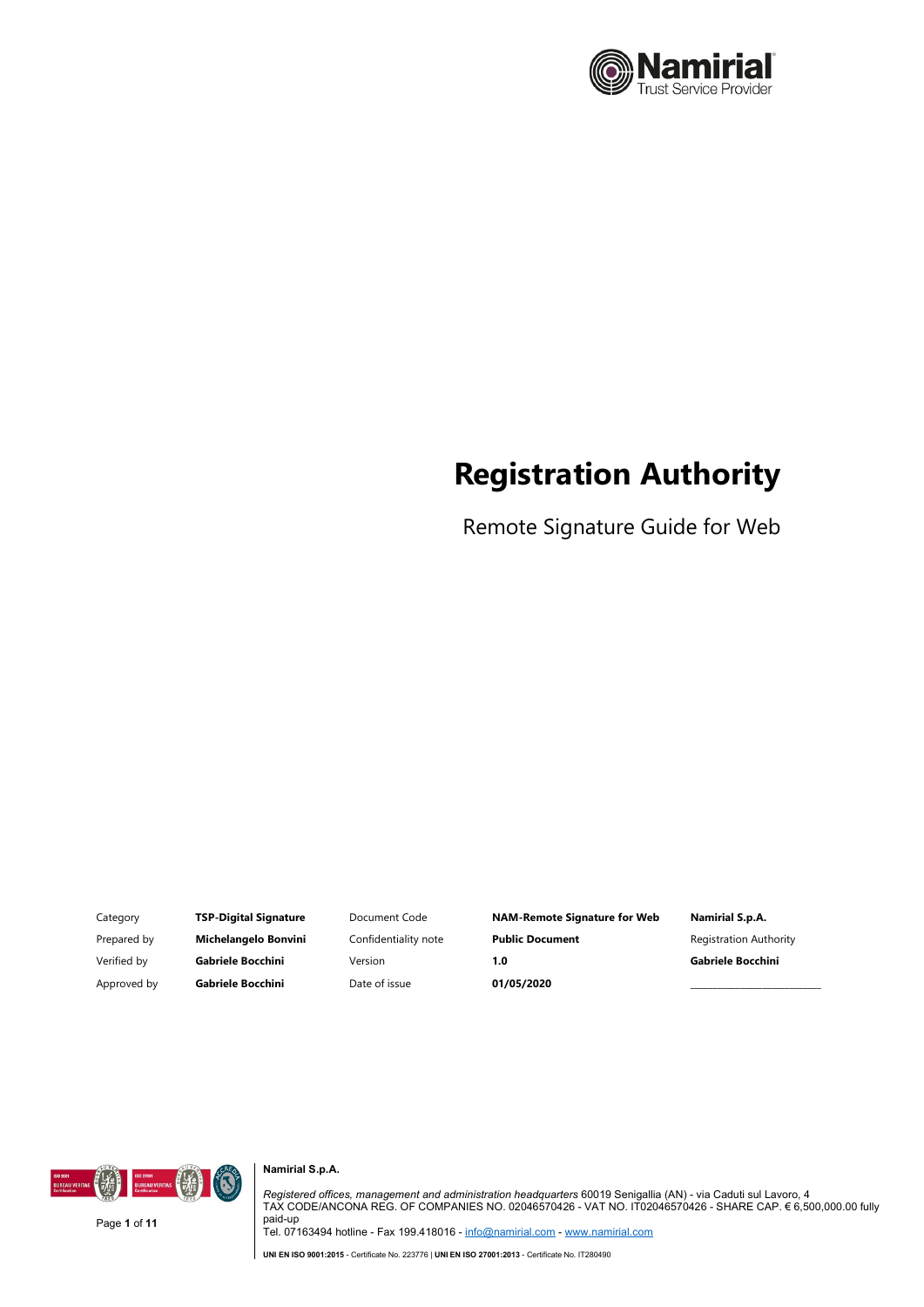

# **Registration Authority**

Remote Signature Guide for Web

**Namirial S.p.A.**

Approved by **Gabriele Bocchini** Date of issue **01/05/2020** 

Category **TSP-Digital Signature** Document Code **NAM-Remote Signature for Web Namirial S.p.A.** Prepared by **Michelangelo Bonvini** Confidentiality note **Public Document Public Registration Authority** Verified by **Gabriele Bocchini** Version **1.0 Gabriele Bocchini**

*Registered offices, management and administration headquarters* 60019 Senigallia (AN) - via Caduti sul Lavoro, 4<br>TAX CODE/ANCONA REG. OF COMPANIES NO. 02046570426 - VAT NO. IT02046570426 - SHARE CAP. € 6,500,000.00 fully



Page **1** of **11**

paid-up Tel. 07163494 hotline - Fax 199.418016 - <u>[info@namirial.com](mailto:info@namirial.com)</u> - <u>[www.namirial.com](http://www.namirial.com/)</u>

**UNI EN ISO 9001:2015** - Certificate No. 223776 | **UNI EN ISO 27001:2013** - Certificate No. IT280490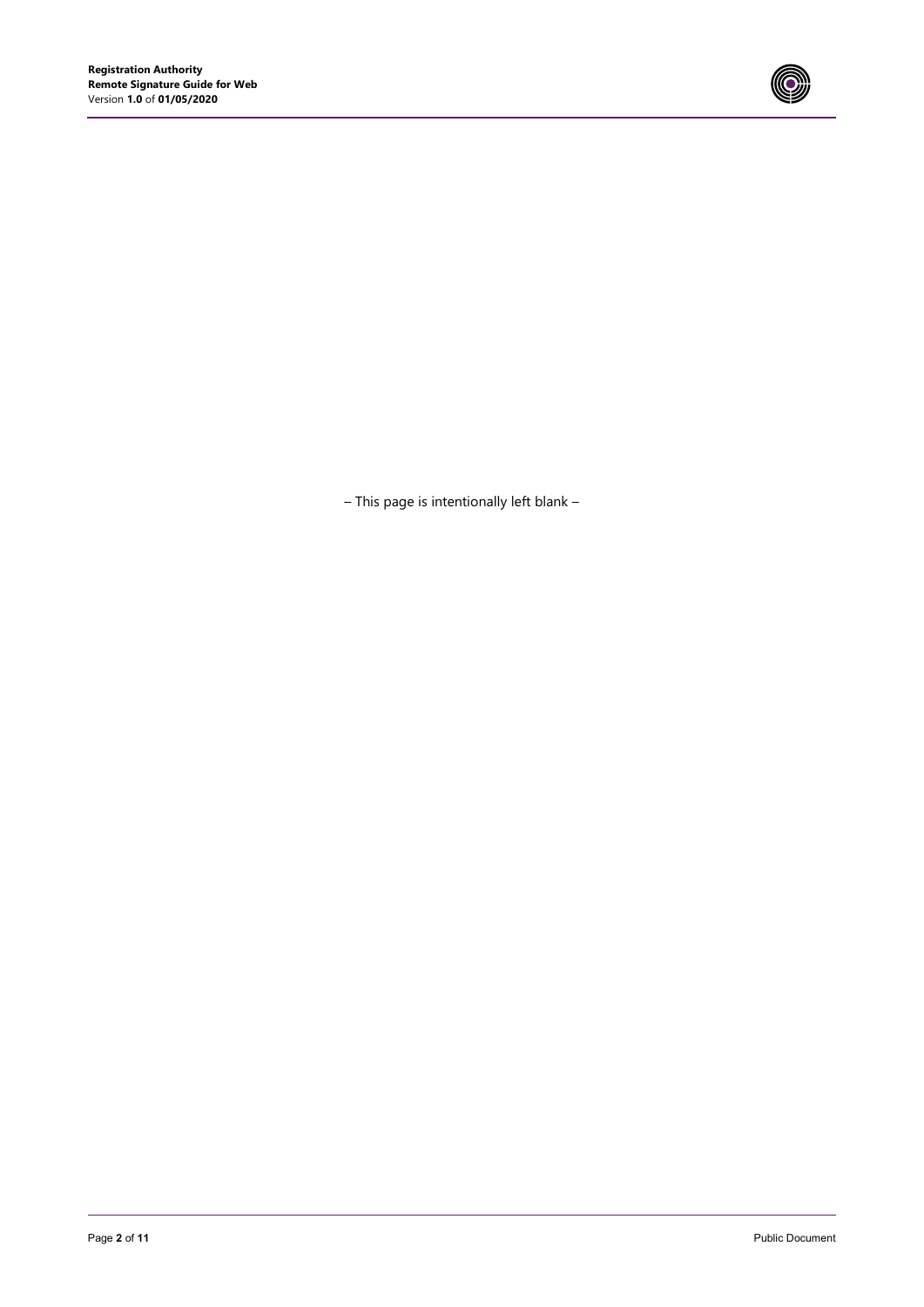

– This page is intentionally left blank –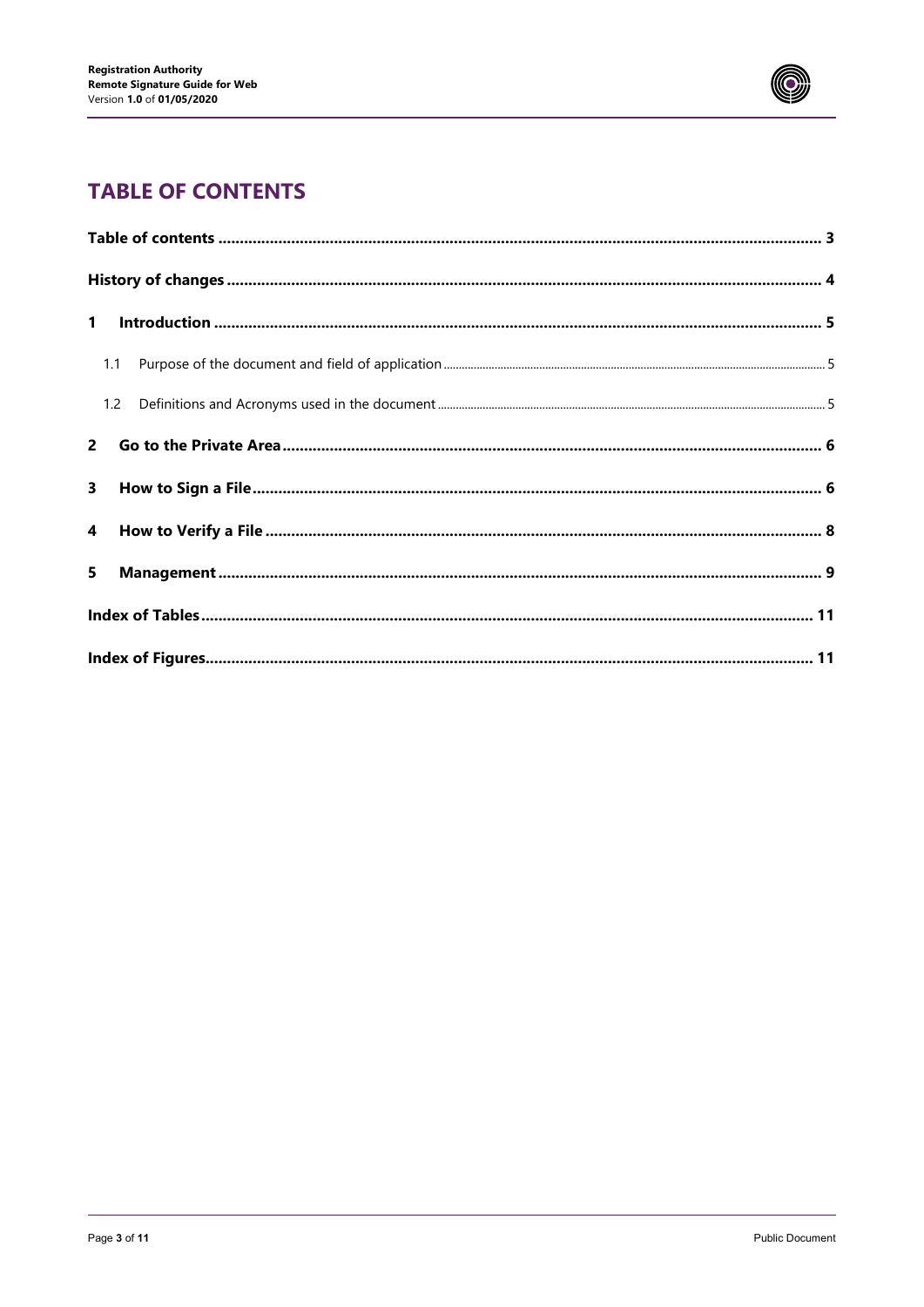

### <span id="page-2-0"></span>**TABLE OF CONTENTS**

| $\mathbf{1}$            |  |
|-------------------------|--|
| 1.1                     |  |
| 1.2                     |  |
| $\mathbf{2}$            |  |
| $\overline{\mathbf{3}}$ |  |
|                         |  |
| 5                       |  |
|                         |  |
|                         |  |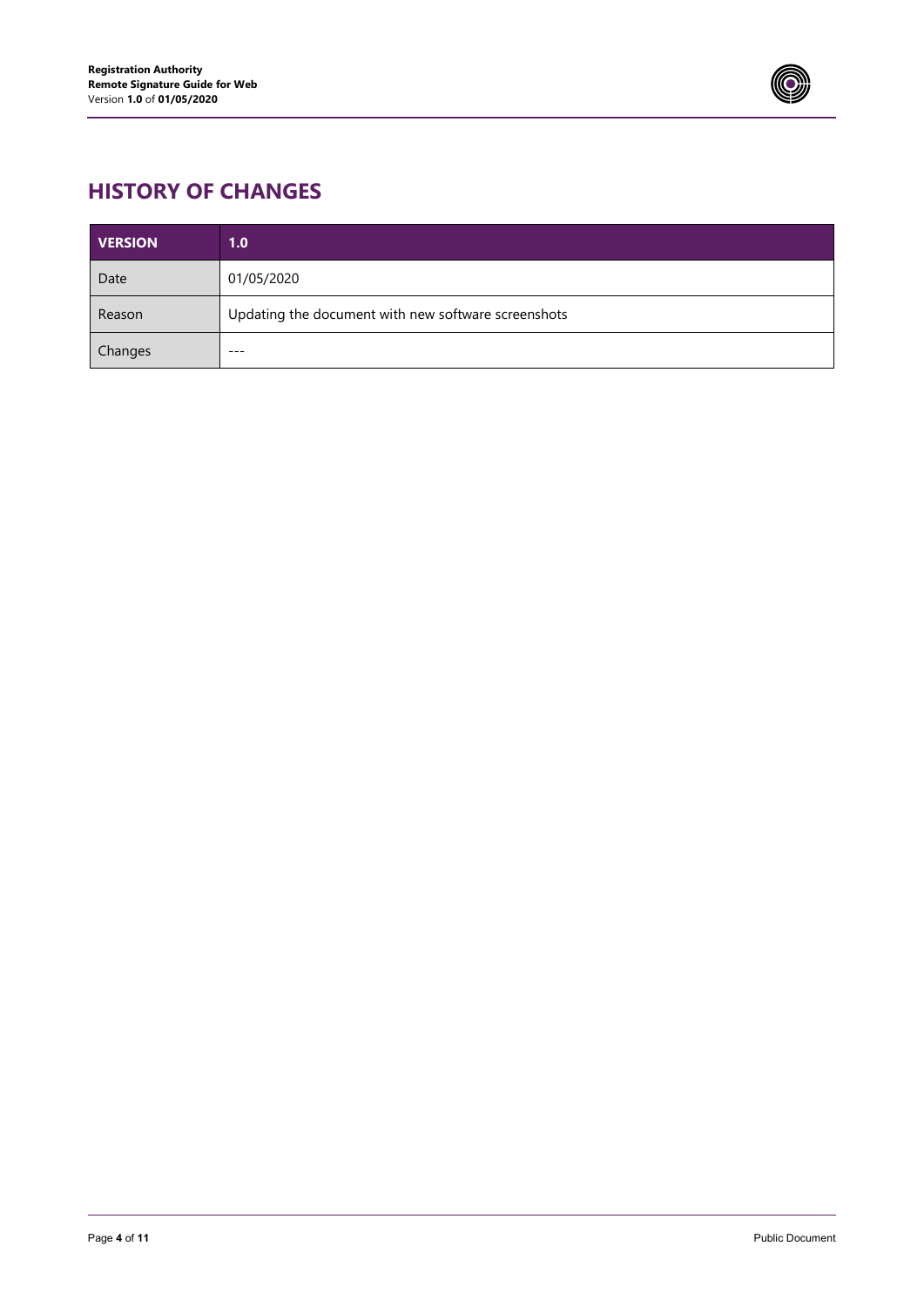

# <span id="page-3-0"></span>**HISTORY OF CHANGES**

| <b>VERSION</b> | 1.0                                                 |
|----------------|-----------------------------------------------------|
| Date           | 01/05/2020                                          |
| Reason         | Updating the document with new software screenshots |
| Changes        | ---                                                 |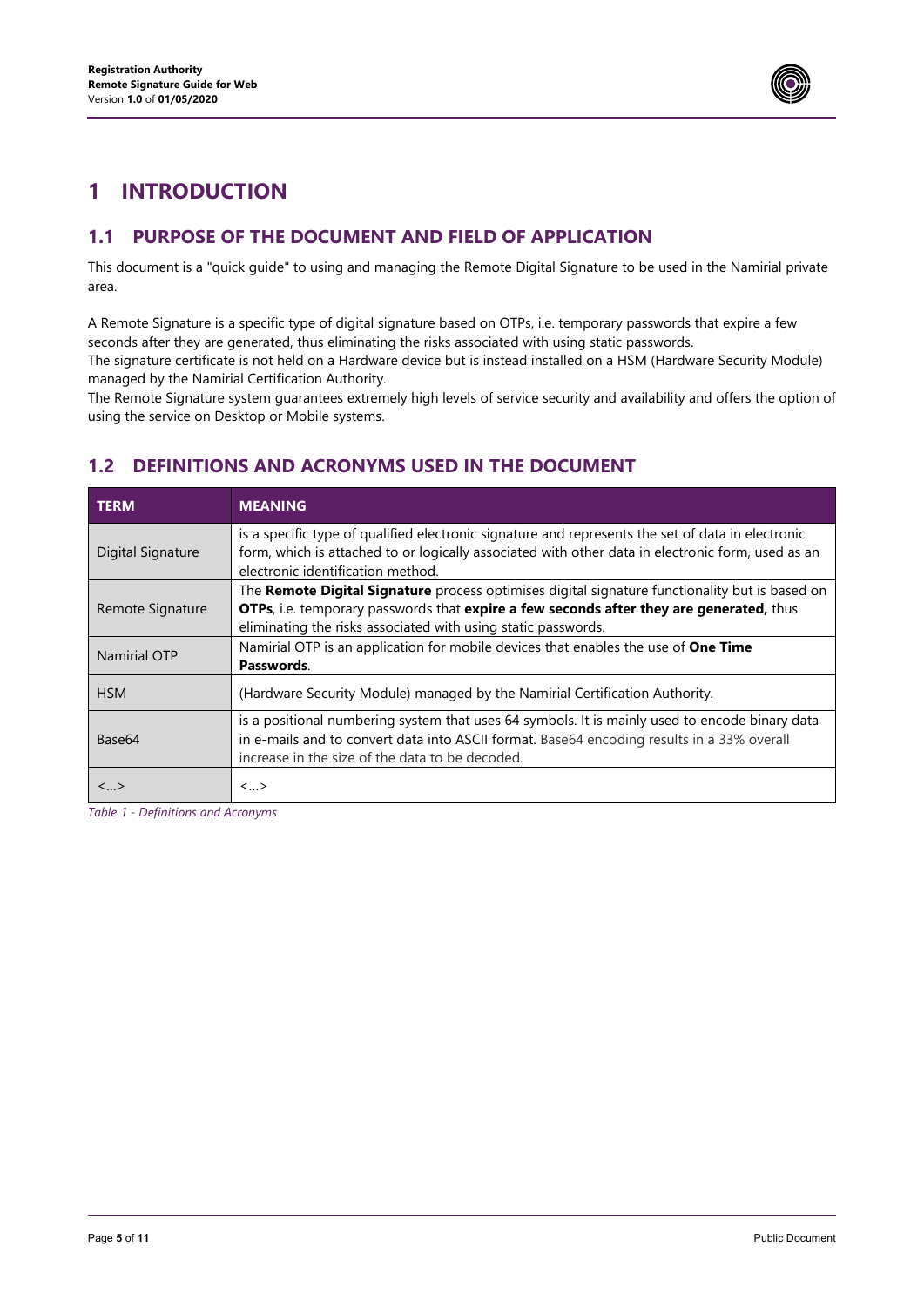

### <span id="page-4-0"></span>**1 INTRODUCTION**

### <span id="page-4-1"></span>**1.1 PURPOSE OF THE DOCUMENT AND FIELD OF APPLICATION**

This document is a "quick guide" to using and managing the Remote Digital Signature to be used in the Namirial private area.

A Remote Signature is a specific type of digital signature based on OTPs, i.e. temporary passwords that expire a few seconds after they are generated, thus eliminating the risks associated with using static passwords.

The signature certificate is not held on a Hardware device but is instead installed on a HSM (Hardware Security Module) managed by the Namirial Certification Authority.

The Remote Signature system guarantees extremely high levels of service security and availability and offers the option of using the service on Desktop or Mobile systems.

### <span id="page-4-2"></span>**1.2 DEFINITIONS AND ACRONYMS USED IN THE DOCUMENT**

| <b>TERM</b>             | <b>MEANING</b>                                                                                                                                                                                                                                             |
|-------------------------|------------------------------------------------------------------------------------------------------------------------------------------------------------------------------------------------------------------------------------------------------------|
| Digital Signature       | is a specific type of qualified electronic signature and represents the set of data in electronic<br>form, which is attached to or logically associated with other data in electronic form, used as an<br>electronic identification method.                |
| Remote Signature        | The Remote Digital Signature process optimises digital signature functionality but is based on<br>OTPs, i.e. temporary passwords that expire a few seconds after they are generated, thus<br>eliminating the risks associated with using static passwords. |
| <b>Namirial OTP</b>     | Namirial OTP is an application for mobile devices that enables the use of One Time<br>Passwords.                                                                                                                                                           |
| <b>HSM</b>              | (Hardware Security Module) managed by the Namirial Certification Authority.                                                                                                                                                                                |
| Base <sub>64</sub>      | is a positional numbering system that uses 64 symbols. It is mainly used to encode binary data<br>in e-mails and to convert data into ASCII format. Base64 encoding results in a 33% overall<br>increase in the size of the data to be decoded.            |
| $\langle \dots \rangle$ | $\langle \dots \rangle$                                                                                                                                                                                                                                    |

<span id="page-4-3"></span>*Table 1 - Definitions and Acronyms*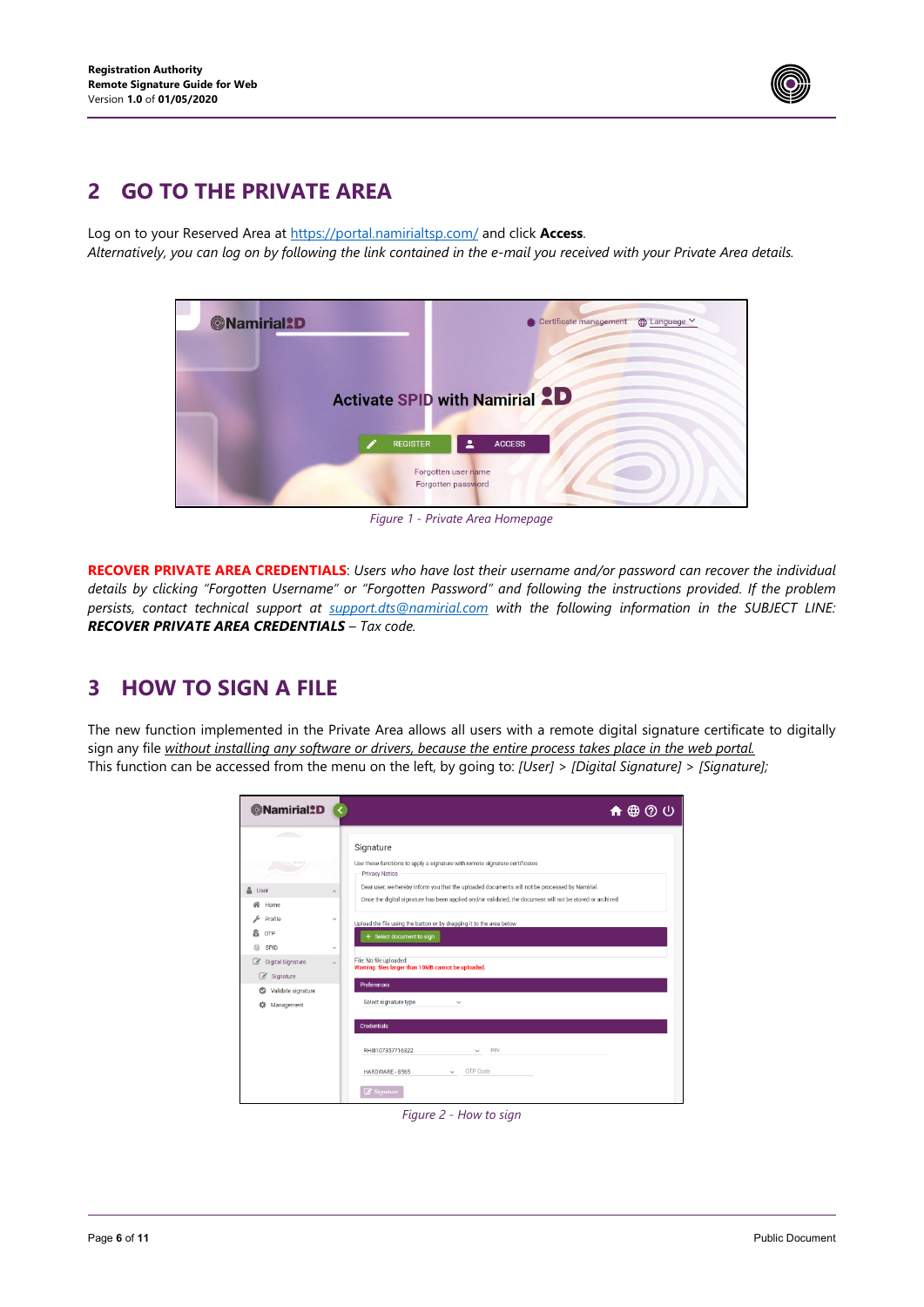

### <span id="page-5-0"></span>**2 GO TO THE PRIVATE AREA**

Log on to your Reserved Area at<https://portal.namirialtsp.com/> and click **Access**. *Alternatively, you can log on by following the link contained in the e-mail you received with your Private Area details.*



*Figure 1 - Private Area Homepage*

<span id="page-5-2"></span>**RECOVER PRIVATE AREA CREDENTIALS**: *Users who have lost their username and/or password can recover the individual details by clicking "Forgotten Username" or "Forgotten Password" and following the instructions provided. If the problem persists, contact technical support at [support.dts@namirial.com](mailto:support.dts@namirial.com) with the following information in the SUBJECT LINE: RECOVER PRIVATE AREA CREDENTIALS – Tax code.*

### <span id="page-5-1"></span>**3 HOW TO SIGN A FILE**

The new function implemented in the Private Area allows all users with a remote digital signature certificate to digitally sign any file *without installing any software or drivers, because the entire process takes place in the web portal.* This function can be accessed from the menu on the left, by going to: *[User]* > *[Digital Signature]* > *[Signature];*

| <b>@Namirial!D</b>                         |                     |                                                                                                           |
|--------------------------------------------|---------------------|-----------------------------------------------------------------------------------------------------------|
|                                            |                     | Signature                                                                                                 |
|                                            |                     | Use these functions to apply a signature with remote signature certificates<br><b>Privacy Notice</b>      |
| & User                                     | $\hat{\phantom{a}}$ | Dear user, we hereby inform you that the uploaded documents will not be processed by Namirial.            |
| Home                                       |                     | Once the digital signature has been applied and/or validated, the document will not be stored or archived |
| Profile                                    | $\checkmark$        | Upload the file using the button or by dragging it to the area below                                      |
| OTP                                        |                     | + Select document to sign                                                                                 |
| <b>SPID</b>                                | v                   |                                                                                                           |
| <b>Digital Signature</b><br>C              | $\hat{\phantom{a}}$ | File: No file uploaded<br>Warning: files larger than 10MB cannot be uploaded.                             |
| Signature                                  |                     | <b>Preferences</b>                                                                                        |
| Validate signature<br>o<br>Management<br>۰ |                     | Select signature type<br>$\checkmark$                                                                     |
|                                            |                     | <b>Credentials</b>                                                                                        |
|                                            |                     | RHI8107357716322<br>PIN<br>v                                                                              |
|                                            |                     | OTP Code<br>HARDWARE - 8565<br>$\checkmark$                                                               |
|                                            |                     | Signature                                                                                                 |

<span id="page-5-3"></span>*Figure 2 - How to sign*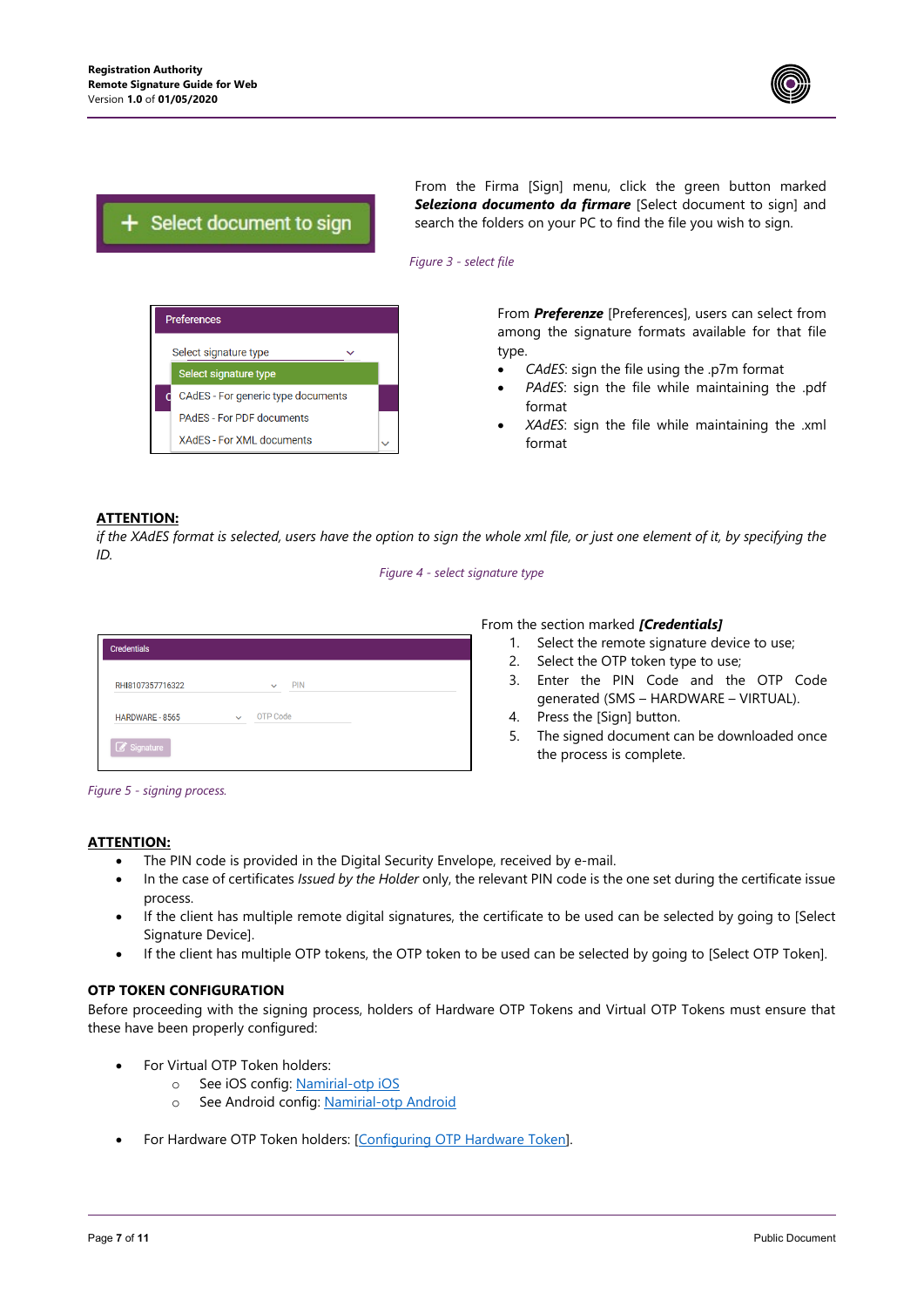

### <span id="page-6-0"></span>Select document to sign

From the Firma [Sign] menu, click the green button marked **Seleziona documento da firmare** [Select document to sign] and search the folders on your PC to find the file you wish to sign.

| Figure 3 - select file |
|------------------------|
|------------------------|



From *Preferenze* [Preferences], users can select from among the signature formats available for that file type.

- *CAdES*: sign the file using the .p7m format
- *PAdES*: sign the file while maintaining the .pdf format
- *XAdES*: sign the file while maintaining the .xml format

#### **ATTENTION:**

<span id="page-6-1"></span>*if the XAdES format is selected, users have the option to sign the whole xml file, or just one element of it, by specifying the*   $ID.$ 

*Figure 4 - select signature type*

| RHI8107357716322 | PIN<br>$\checkmark$      |  |
|------------------|--------------------------|--|
| HARDWARE - 8565  | OTP Code<br>$\checkmark$ |  |

#### <span id="page-6-2"></span>*Figure 5 - signing process.*

#### **ATTENTION:**

- The PIN code is provided in the Digital Security Envelope, received by e-mail.
- In the case of certificates *Issued by the Holder* only, the relevant PIN code is the one set during the certificate issue process.
- If the client has multiple remote digital signatures, the certificate to be used can be selected by going to [Select Signature Device].
- If the client has multiple OTP tokens, the OTP token to be used can be selected by going to [Select OTP Token].

#### **OTP TOKEN CONFIGURATION**

Before proceeding with the signing process, holders of Hardware OTP Tokens and Virtual OTP Tokens must ensure that these have been properly configured:

- For Virtual OTP Token holders:
	- o See iOS config: [Namirial-otp iOS](https://download.firmacerta.it/pdf/Guide/en/RemoteSignature/ios-OTP-Configuration.pdf)
	- o See Android config: [Namirial-otp Android](https://download.firmacerta.it/pdf/Guide/en/RemoteSignature/Android-OTP-Configuration.pdf)
- For Hardware OTP Token holders: [\[Configuring OTP](https://download.firmacerta.it/pdf/Guide/en/RemoteSignature/OTP_Hardware_Token_Configuration_Guide.pdf) Hardware Token].

From the section marked *[Credentials]*

- 1. Select the remote signature device to use;
- 2. Select the OTP token type to use;
- 3. Enter the PIN Code and the OTP Code generated (SMS – HARDWARE – VIRTUAL).
- 4. Press the [Sign] button.
- 5. The signed document can be downloaded once the process is complete.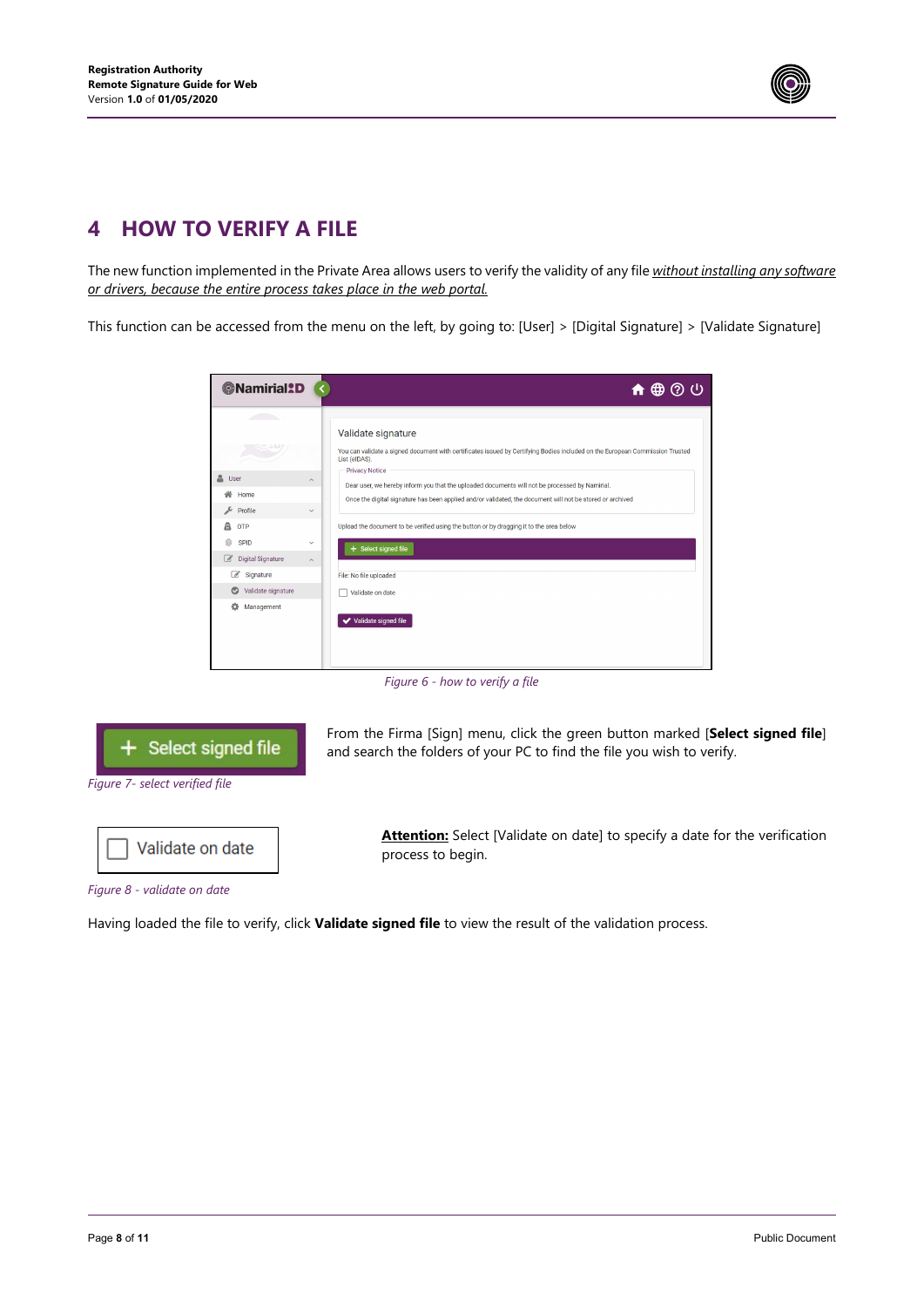

## <span id="page-7-0"></span>**4 HOW TO VERIFY A FILE**

The new function implemented in the Private Area allows users to verify the validity of any file *without installing any software or drivers, because the entire process takes place in the web portal.*

This function can be accessed from the menu on the left, by going to: [User] > [Digital Signature] > [Validate Signature]

| <b>@Namirial!D</b>                                                                                                                |                                                                                |                                                                                                                                                                                                                                                                                                                                                                                                                                                                                                                                                          |
|-----------------------------------------------------------------------------------------------------------------------------------|--------------------------------------------------------------------------------|----------------------------------------------------------------------------------------------------------------------------------------------------------------------------------------------------------------------------------------------------------------------------------------------------------------------------------------------------------------------------------------------------------------------------------------------------------------------------------------------------------------------------------------------------------|
| User<br>Home<br>ℐ<br>Profile<br>燕<br><b>OTP</b><br><b>SPID</b><br>Digital Signature<br>$\overline{\mathscr{A}}$<br>☞<br>Signature | $\hat{\phantom{a}}$<br>$\checkmark$<br>$\checkmark$<br>$\widehat{\phantom{a}}$ | Validate signature<br>You can validate a signed document with certificates issued by Certifying Bodies included on the European Commission Trusted<br>List (eIDAS).<br><b>Privacy Notice</b><br>Dear user, we hereby inform you that the uploaded documents will not be processed by Namirial.<br>Once the digital signature has been applied and/or validated, the document will not be stored or archived<br>Upload the document to be verified using the button or by dragging it to the area below<br>+ Select signed file<br>File: No file uploaded |
| Validate signature<br>Management<br>۰                                                                                             |                                                                                | Validate on date<br>Validate signed file                                                                                                                                                                                                                                                                                                                                                                                                                                                                                                                 |

*Figure 6 - how to verify a file*

<span id="page-7-1"></span>

From the Firma [Sign] menu, click the green button marked [**Select signed file**]

and search the folders of your PC to find the file you wish to verify.

<span id="page-7-2"></span>

**Attention:** Select [Validate on date] to specify a date for the verification process to begin.

<span id="page-7-3"></span>*Figure 8 - validate on date*

Having loaded the file to verify, click **Validate signed file** to view the result of the validation process.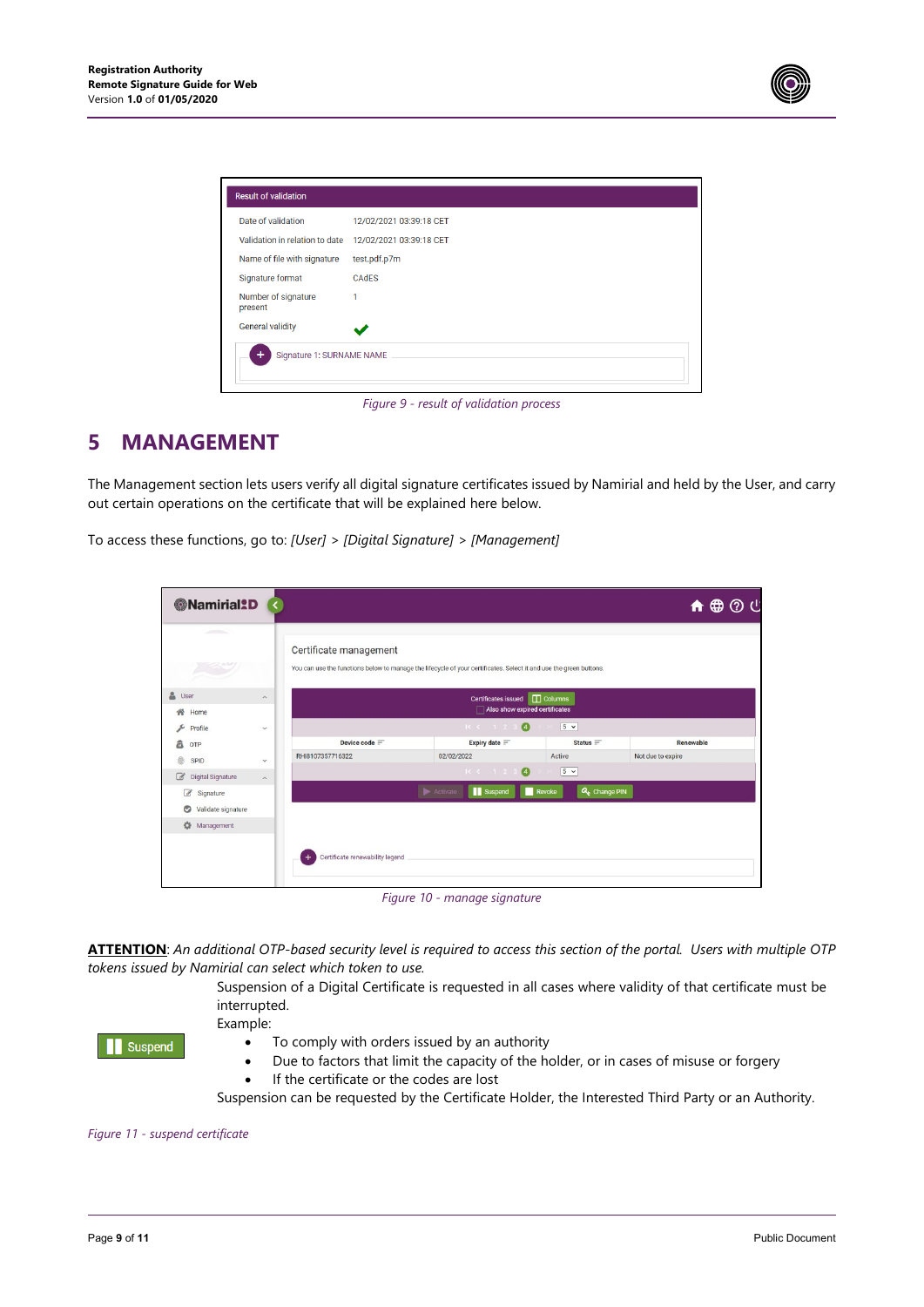

| <b>Result of validation</b>                            |                         |
|--------------------------------------------------------|-------------------------|
| Date of validation                                     | 12/02/2021 03:39:18 CET |
| Validation in relation to date 12/02/2021 03:39:18 CET |                         |
| Name of file with signature                            | test.pdf.p7m            |
| Signature format                                       | CAdES                   |
| Number of signature<br>present                         | 1                       |
| <b>General validity</b>                                |                         |

*Figure 9 - result of validation process*

### <span id="page-8-1"></span><span id="page-8-0"></span>**5 MANAGEMENT**

The Management section lets users verify all digital signature certificates issued by Namirial and held by the User, and carry out certain operations on the certificate that will be explained here below.

To access these functions, go to: *[User] > [Digital Signature] > [Management]*

| <b>@Namirial!D</b>                                                                                                                      |                         |                                                                                                                                              |                                |                                            | <del></del> ↑ ⊕ ⑦ ₾ |
|-----------------------------------------------------------------------------------------------------------------------------------------|-------------------------|----------------------------------------------------------------------------------------------------------------------------------------------|--------------------------------|--------------------------------------------|---------------------|
| $\label{eq:1} \begin{aligned} \mathcal{L}_{\mathcal{A}}(t) = \mathcal{L}_{\mathcal{A}}(t) = \mathcal{L}_{\mathcal{A}}(t) \end{aligned}$ |                         | Certificate management<br>You can use the functions below to manage the lifecycle of your certificates. Select it and use the green buttons. |                                |                                            |                     |
| & User                                                                                                                                  | $\scriptstyle\wedge$    |                                                                                                                                              | Certificates issued   Columns  |                                            |                     |
| 省<br>Home                                                                                                                               |                         |                                                                                                                                              | Also show expired certificates |                                            |                     |
| r<br>Profile                                                                                                                            | $\checkmark$            |                                                                                                                                              | R<1230                         | $5 - $                                     |                     |
| 盘<br>OTP                                                                                                                                |                         | Device code $=$                                                                                                                              | Expiry date $=$                | Status $=$                                 | Renewable           |
| â<br>SPID                                                                                                                               | $\checkmark$            | RHI8107357716322                                                                                                                             | 02/02/2022                     | Active                                     | Not due to expire   |
| Digital Signature<br>$\boxed{d}$                                                                                                        | $\widehat{\phantom{a}}$ |                                                                                                                                              | $165 - 1239$                   | $5 - $                                     |                     |
| $\overline{\mathscr{L}}$<br>Signature                                                                                                   |                         |                                                                                                                                              | Suspend<br>Activate            | Q <sub>+</sub> Change PIN<br><b>Revoke</b> |                     |
| Validate signature<br>O                                                                                                                 |                         |                                                                                                                                              |                                |                                            |                     |
| Management                                                                                                                              |                         |                                                                                                                                              |                                |                                            |                     |
|                                                                                                                                         |                         |                                                                                                                                              |                                |                                            |                     |
|                                                                                                                                         |                         | Certificate renewability legend                                                                                                              |                                |                                            |                     |



<span id="page-8-2"></span>**ATTENTION**: *An additional OTP-based security level is required to access this section of the portal. Users with multiple OTP tokens issued by Namirial can select which token to use.* 

> Suspension of a Digital Certificate is requested in all cases where validity of that certificate must be interrupted.

Example:

**N** Suspend

- To comply with orders issued by an authority
- Due to factors that limit the capacity of the holder, or in cases of misuse or forgery
- If the certificate or the codes are lost

Suspension can be requested by the Certificate Holder, the Interested Third Party or an Authority.

<span id="page-8-3"></span>*Figure 11 - suspend certificate*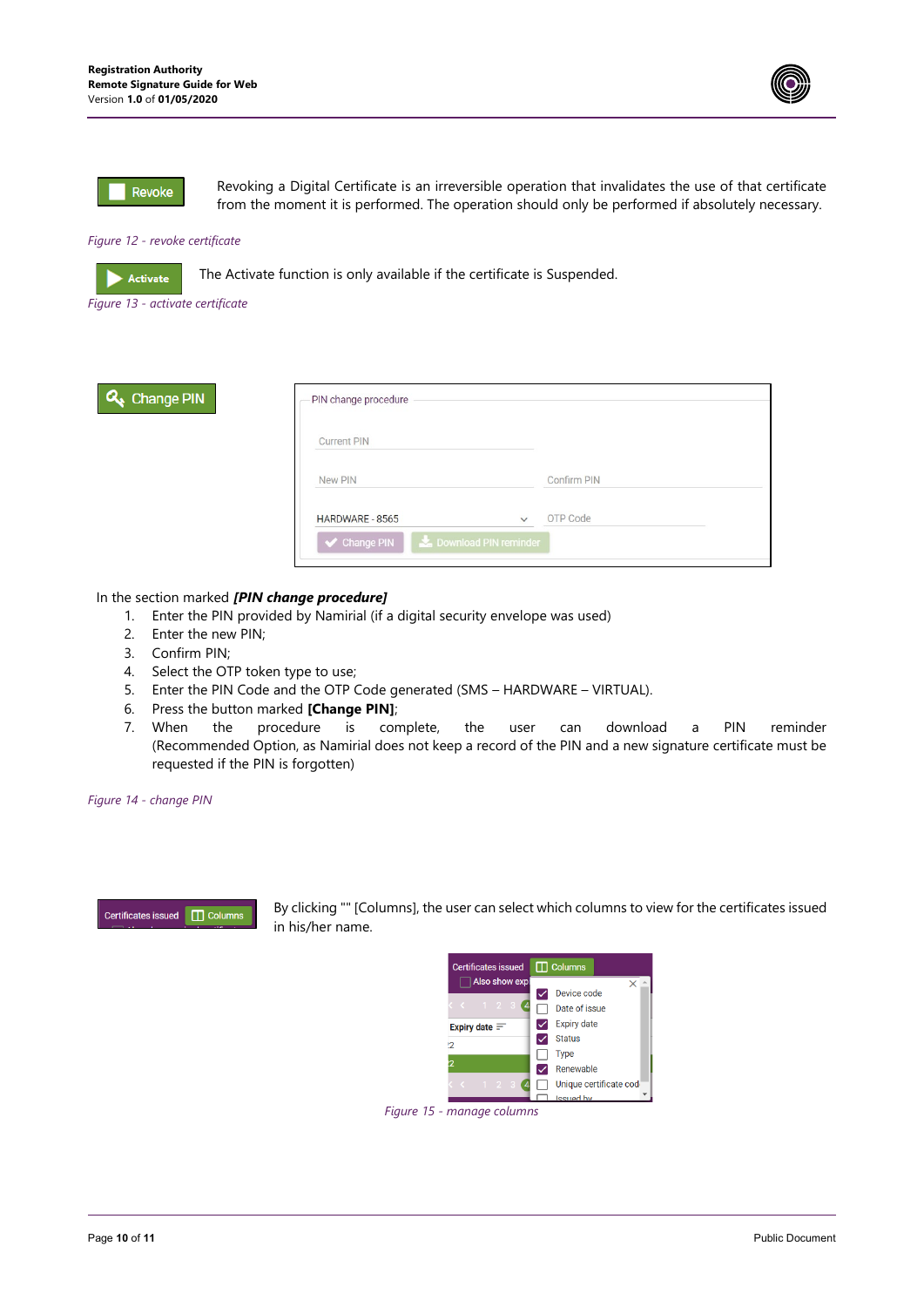



Revoking a Digital Certificate is an irreversible operation that invalidates the use of that certificate from the moment it is performed. The operation should only be performed if absolutely necessary.

<span id="page-9-0"></span>*Figure 12 - revoke certificate*



The Activate function is only available if the certificate is Suspended.

<span id="page-9-1"></span>*Figure 13 - activate certificate*

| Change PIN | PIN change procedure |                          |  |
|------------|----------------------|--------------------------|--|
|            | <b>Current PIN</b>   |                          |  |
|            | New PIN              | <b>Confirm PIN</b>       |  |
|            | HARDWARE - 8565      | OTP Code<br>$\checkmark$ |  |
|            | <b>◆</b> Change PIN  | Download PIN reminder    |  |

In the section marked *[PIN change procedure]*

- 1. Enter the PIN provided by Namirial (if a digital security envelope was used)
- 2. Enter the new PIN;
- 3. Confirm PIN;
- 4. Select the OTP token type to use;
- 5. Enter the PIN Code and the OTP Code generated (SMS HARDWARE VIRTUAL).
- 6. Press the button marked **[Change PIN]**;
- 7. When the procedure is complete, the user can download a PIN reminder (Recommended Option, as Namirial does not keep a record of the PIN and a new signature certificate must be requested if the PIN is forgotten)

<span id="page-9-2"></span>*Figure 14 - change PIN*

<span id="page-9-3"></span>

By clicking "" [Columns], the user can select which columns to view for the certificates issued in his/her name.



*Figure 15 - manage columns*